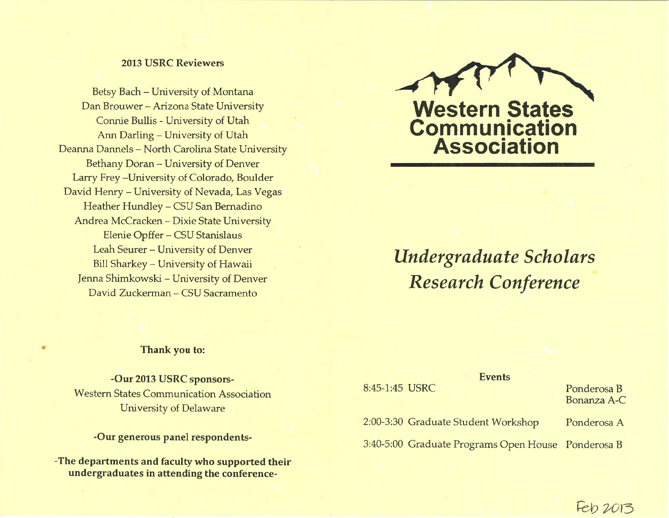# **2013 USRC Reviewers**

Betsy Bach - University of Montana Dan Brouwer - Arizona State University Connie Bullis - University of Utah Ann Darling - University of Utah Deanna Dannels - North Carolina State University Bethany Doran - University of Denver Larry Frey-University of Colorado, Boulder David Henry - University of Nevada, Las Vegas Heather Hundley - CSU San Bernadino Andrea McCracken - Dixie State University Elenie Opffer - CSU Stanislaus Leah Seurer - University of Denver Bill Sharkey - University of Hawaii Jenna Shimkowski - University of Denver David Zuckerman - CSU Sacramento



# Undergraduate Scholars **Research Conference**

## Thank you to:

-Our 2013 USRC sponsors-**Western States Communication Association** University of Delaware

-Our generous panel respondents-

-The departments and faculty who supported their undergraduates in attending the conference-

# **Events**

8:45-1:45 USRC 2:00-3:30 Graduate Student Workshop Ponderosa B Bonanza A-C

Ponderosa A

3:40-5:00 Graduate Programs Open House Ponderosa B